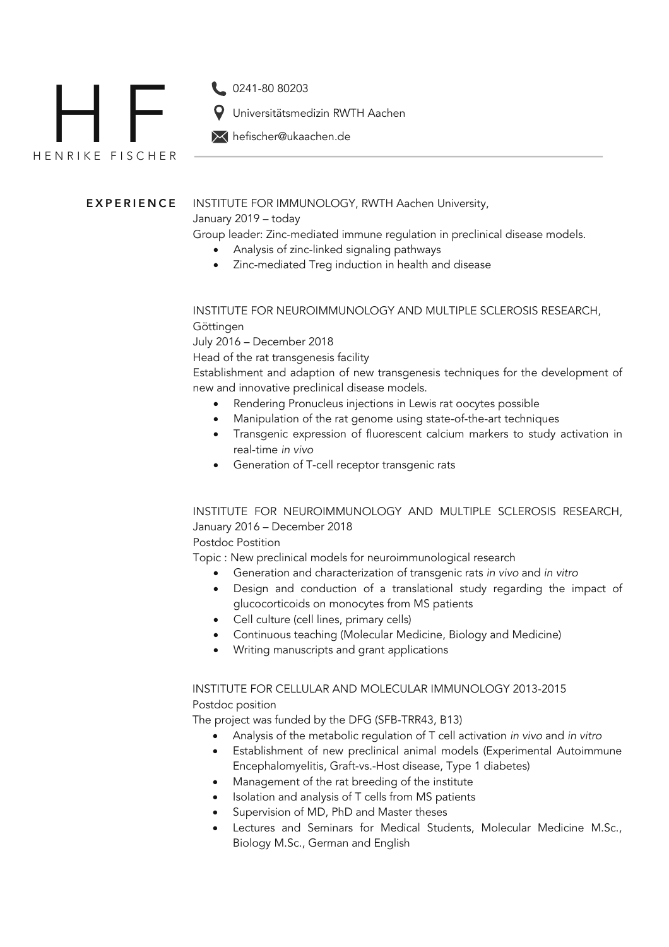

**EXPERIENCE** INSTITUTE FOR IMMUNOLOGY, RWTH Aachen University,

January 2019 – today

Group leader: Zinc-mediated immune regulation in preclinical disease models.

- Analysis of zinc-linked signaling pathways
- Zinc-mediated Treg induction in health and disease

INSTITUTE FOR NEUROIMMUNOLOGY AND MULTIPLE SCLEROSIS RESEARCH, Göttingen

July 2016 – December 2018

Head of the rat transgenesis facility

hefischer@ukaachen.de

Universitätsmedizin RWTH Aachen

Establishment and adaption of new transgenesis techniques for the development of new and innovative preclinical disease models.

- Rendering Pronucleus injections in Lewis rat oocytes possible
- Manipulation of the rat genome using state-of-the-art techniques
- Transgenic expression of fluorescent calcium markers to study activation in real-time *in vivo*
- Generation of T-cell receptor transgenic rats

INSTITUTE FOR NEUROIMMUNOLOGY AND MULTIPLE SCLEROSIS RESEARCH, January 2016 – December 2018

Postdoc Postition

Topic : New preclinical models for neuroimmunological research

- Generation and characterization of transgenic rats *in vivo* and *in vitro*
- Design and conduction of a translational study regarding the impact of glucocorticoids on monocytes from MS patients
- Cell culture (cell lines, primary cells)
- Continuous teaching (Molecular Medicine, Biology and Medicine)
- Writing manuscripts and grant applications

## INSTITUTE FOR CELLULAR AND MOLECULAR IMMUNOLOGY 2013-2015 Postdoc position

The project was funded by the DFG (SFB-TRR43, B13)

- Analysis of the metabolic regulation of T cell activation *in vivo* and *in vitro*
- Establishment of new preclinical animal models (Experimental Autoimmune Encephalomyelitis, Graft-vs.-Host disease, Type 1 diabetes)
- Management of the rat breeding of the institute
- Isolation and analysis of T cells from MS patients
- Supervision of MD, PhD and Master theses
- Lectures and Seminars for Medical Students, Molecular Medicine M.Sc., Biology M.Sc., German and English